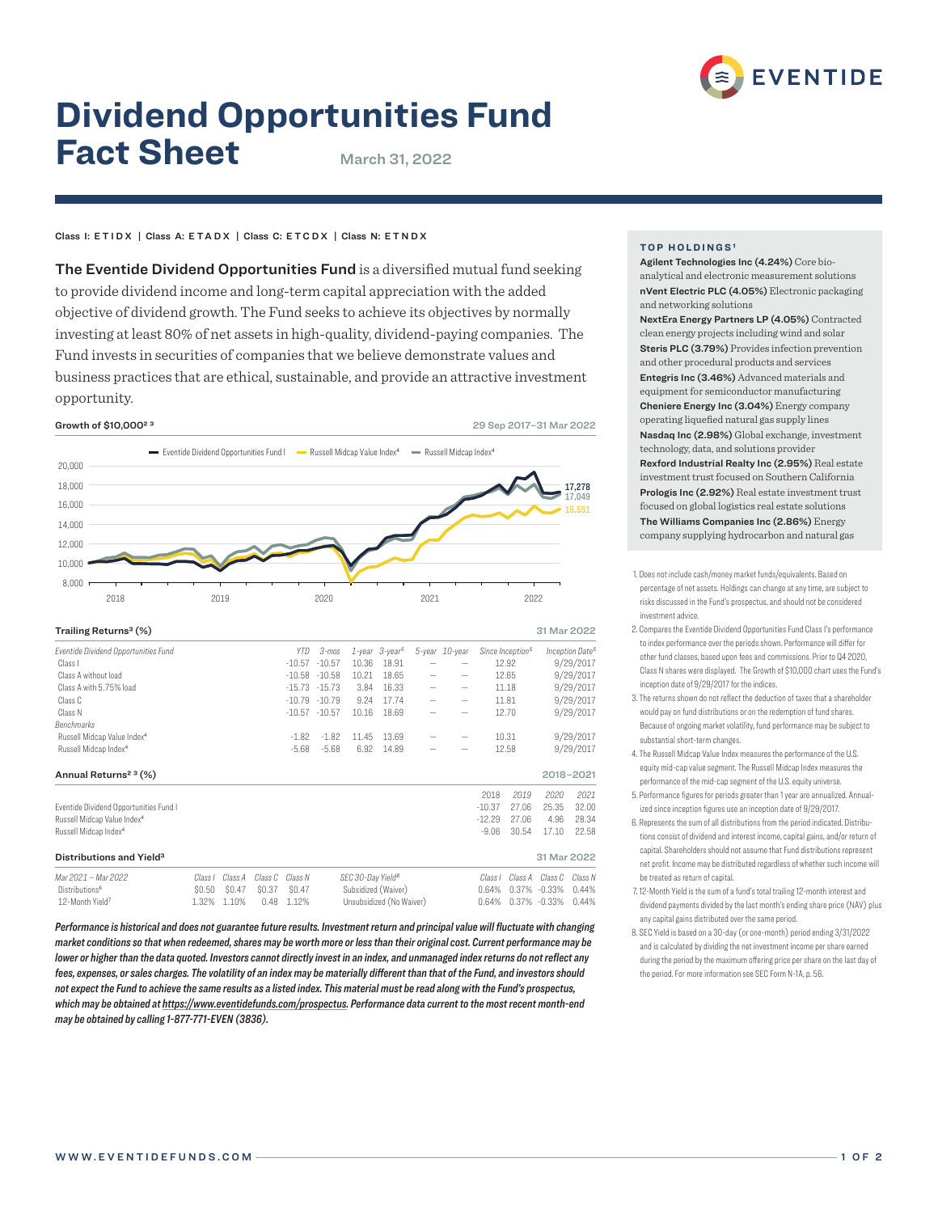

# **Dividend Opportunities Fund Fact Sheet** March 31, 2022

# Class I: ETIDX | Class A: ETADX | Class C: ETCDX | Class N: ETNDX

The Eventide Dividend Opportunities Fund is a diversified mutual fund seeking to provide dividend income and long-term capital appreciation with the added objective of dividend growth. The Fund seeks to achieve its objectives by normally investing at least 80% of net assets in high-quality, dividend-paying companies. The Fund invests in securities of companies that we believe demonstrate values and business practices that are ethical, sustainable, and provide an attractive investment opportunity.

**Growth of \$10.000<sup>2</sup><sup>3</sup>** 29 Sep 2017–31 Mar 2022



| Trailing Returns <sup>3</sup> (%)       |         |         |         |                      |                  |                               |                                  |  |                |                |                              | 31 Mar 2022      |                             |
|-----------------------------------------|---------|---------|---------|----------------------|------------------|-------------------------------|----------------------------------|--|----------------|----------------|------------------------------|------------------|-----------------------------|
| Eventide Dividend Opportunities Fund    |         |         |         | <b>YTD</b>           | 3-mos            |                               | $1$ -year $3$ -year <sup>5</sup> |  | 5-year 10-year |                | Since Inception <sup>5</sup> |                  | Inception Date <sup>5</sup> |
| Class I                                 |         |         |         | $-10.57$             | $-10.57$         | 10.36                         | 18.91                            |  |                |                | 12.92                        |                  | 9/29/2017                   |
| Class A without load                    |         |         |         | $-10.58$<br>$-15.73$ | $-10.58$         | 10.21<br>3.84                 | 18.65<br>16.33                   |  | -<br>-         | 12.65<br>11.18 |                              | 9/29/2017        |                             |
| Class A with 5.75% load                 |         |         |         |                      | $-15.73$         |                               |                                  |  |                |                |                              | 9/29/2017        |                             |
| Class C                                 |         |         |         | $-10.79$             | $-10.79$         | 9.24                          | 17.74                            |  | -              | 11.81          |                              | 9/29/2017        |                             |
| Class N                                 |         |         |         |                      | $-10.57 - 10.57$ | 10.16                         | 18.69                            |  |                | 12.70          |                              | 9/29/2017        |                             |
| Benchmarks                              |         |         |         |                      |                  |                               |                                  |  |                |                |                              |                  |                             |
| Russell Midcap Value Index <sup>4</sup> |         |         |         | $-1.82$              | $-1.82$          | 11.45                         | 13.69                            |  | -              |                | 10.31                        |                  | 9/29/2017                   |
| Russell Midcap Index <sup>4</sup>       |         |         |         | $-5.68$              | $-5.68$          | 6.92                          | 14.89                            |  |                |                | 12.58<br>9/29/2017           |                  |                             |
| Annual Returns <sup>2 3</sup> (%)       |         |         |         |                      |                  |                               |                                  |  |                |                |                              |                  | 2018-2021                   |
|                                         |         |         |         |                      |                  |                               |                                  |  |                | 2018           | 2019                         | 2020             | 2021                        |
| Eventide Dividend Opportunities Fund I  |         |         |         |                      |                  |                               |                                  |  |                | $-10.37$       | 27.06                        | 25.35            | 32.00                       |
| Russell Midcap Value Index <sup>4</sup> |         |         |         |                      |                  |                               |                                  |  |                | $-12.29$       | 27.06                        | 4.96             | 28.34                       |
| Russell Midcap Index <sup>4</sup>       |         |         |         |                      |                  |                               |                                  |  |                | $-9.06$        | 30.54                        | 17.10            | 22.58                       |
| Distributions and Yield <sup>3</sup>    |         |         |         |                      |                  |                               |                                  |  |                |                |                              | 31 Mar 2022      |                             |
| Mar 2021 - Mar 2022                     | Class I | Class A | Class C | Class N              |                  | SEC 30-Day Yield <sup>8</sup> |                                  |  |                | Class I        | Class A                      | Class C          | Class N                     |
| Distributions <sup>6</sup>              | \$0.50  | \$0.47  | \$0.37  | \$0.47               |                  |                               | Subsidized (Waiver)              |  |                | 0.64%          | 0.37%                        | $-0.33\%$        | 0.44%                       |
| 12-Month Yield7                         | 1.32%   | 1.10%   | 0.48    | 1.12%                |                  | Unsubsidized (No Waiver)      |                                  |  |                | 0.64%          |                              | $0.37\% -0.33\%$ | 0.44%                       |

*Performance is historical and does not guarantee future results. Investment return and principal value will fluctuate with changing market conditions so that when redeemed, shares may be worth more or less than their original cost. Current performance may be lower or higher than the data quoted. Investors cannot directly invest in an index, and unmanaged index returns do not reflect any fees, expenses, or sales charges. The volatility of an index may be materially different than that of the Fund, and investors should not expect the Fund to achieve the same results as a listed index. This material must be read along with the Fund's prospectus, which may be obtained at https://www.eventidefunds.com/prospectus. Performance data current to the most recent month-end may be obtained by calling 1-877-771-EVEN (3836).*

# **TOP HOLDINGS<sup>1</sup>**

Agilent Technologies Inc (4.24%) Core bioanalytical and electronic measurement solutions nVent Electric PLC (4.05%) Electronic packaging and networking solutions

NextEra Energy Partners LP (4.05%) Contracted clean energy projects including wind and solar Steris PLC (3.79%) Provides infection prevention and other procedural products and services Entegris Inc (3.46%) Advanced materials and equipment for semiconductor manufacturing Cheniere Energy Inc (3.04%) Energy company operating liquefied natural gas supply lines Nasdaq Inc (2.98%) Global exchange, investment technology, data, and solutions provider Rexford Industrial Realty Inc (2.95%) Real estate investment trust focused on Southern California Prologis Inc (2.92%) Real estate investment trust focused on global logistics real estate solutions The Williams Companies Inc (2.86%) Energy company supplying hydrocarbon and natural gas

- 1. Does not include cash/money market funds/equivalents. Based on percentage of net assets. Holdings can change at any time, are subject to risks discussed in the Fund's prospectus, and should not be considered investment advice.
- 2. Compares the Eventide Dividend Opportunities Fund Class I's performance to index performance over the periods shown. Performance will differ for other fund classes, based upon fees and commissions. Prior to Q4 2020, Class N shares were displayed. The Growth of \$10,000 chart uses the Fund's inception date of 9/29/2017 for the indices.
- 3. The returns shown do not reflect the deduction of taxes that a shareholder would pay on fund distributions or on the redemption of fund shares. Because of ongoing market volatility, fund performance may be subject to substantial short-term changes.
- 4. The Russell Midcap Value Index measures the performance of the U.S. equity mid-cap value segment. The Russell Midcap Index measures the performance of the mid-cap segment of the U.S. equity universe.
- 5. Performance figures for periods greater than 1 year are annualized. Annualized since inception figures use an inception date of 9/29/2017.
- 6. Represents the sum of all distributions from the period indicated. Distributions consist of dividend and interest income, capital gains, and/or return of capital. Shareholders should not assume that Fund distributions represent net profit. Income may be distributed regardless of whether such income will be treated as return of capital.
- 7. 12-Month Yield is the sum of a fund's total trailing 12-month interest and dividend payments divided by the last month's ending share price (NAV) plus any capital gains distributed over the same period.
- 8. SEC Yield is based on a 30-day (or one-month) period ending 3/31/2022 and is calculated by dividing the net investment income per share earned during the period by the maximum offering price per share on the last day of the period. For more information see SEC Form N-1A, p. 56.